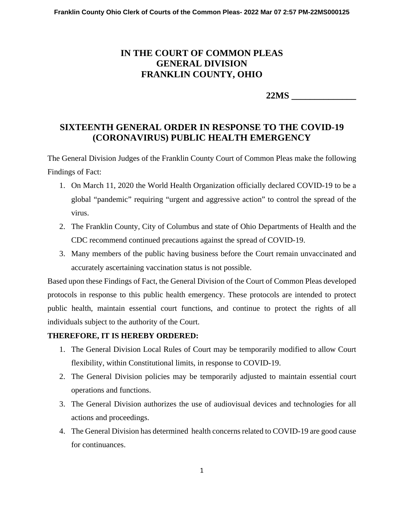## **IN THE COURT OF COMMON PLEAS GENERAL DIVISION FRANKLIN COUNTY, OHIO**

 **22MS \_\_\_\_\_\_\_\_\_\_\_\_\_\_** 

## **SIXTEENTH GENERAL ORDER IN RESPONSE TO THE COVID-19 (CORONAVIRUS) PUBLIC HEALTH EMERGENCY**

The General Division Judges of the Franklin County Court of Common Pleas make the following Findings of Fact:

- 1. On March 11, 2020 the World Health Organization officially declared COVID-19 to be a global "pandemic" requiring "urgent and aggressive action" to control the spread of the virus.
- 2. The Franklin County, City of Columbus and state of Ohio Departments of Health and the CDC recommend continued precautions against the spread of COVID-19.
- 3. Many members of the public having business before the Court remain unvaccinated and accurately ascertaining vaccination status is not possible.

Based upon these Findings of Fact, the General Division of the Court of Common Pleas developed protocols in response to this public health emergency. These protocols are intended to protect public health, maintain essential court functions, and continue to protect the rights of all individuals subject to the authority of the Court.

## **THEREFORE, IT IS HEREBY ORDERED:**

- 1. The General Division Local Rules of Court may be temporarily modified to allow Court flexibility, within Constitutional limits, in response to COVID-19.
- 2. The General Division policies may be temporarily adjusted to maintain essential court operations and functions.
- 3. The General Division authorizes the use of audiovisual devices and technologies for all actions and proceedings.
- 4. The General Division has determined health concerns related to COVID-19 are good cause for continuances.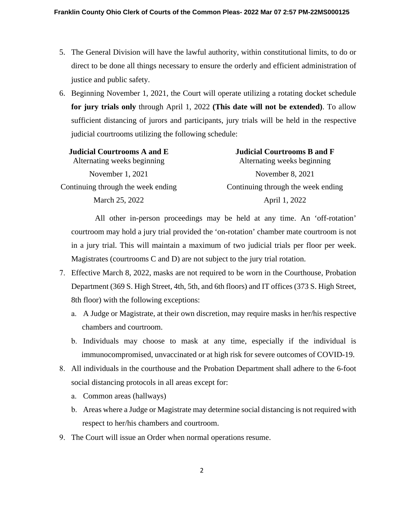- 5. The General Division will have the lawful authority, within constitutional limits, to do or direct to be done all things necessary to ensure the orderly and efficient administration of justice and public safety.
- 6. Beginning November 1, 2021, the Court will operate utilizing a rotating docket schedule **for jury trials only** through April 1, 2022 **(This date will not be extended)**. To allow sufficient distancing of jurors and participants, jury trials will be held in the respective judicial courtrooms utilizing the following schedule:

| <b>Judicial Courtrooms A and E</b> | <b>Judicial Courtrooms B and F</b> |
|------------------------------------|------------------------------------|
| Alternating weeks beginning        | Alternating weeks beginning        |
| November 1, 2021                   | November $8, 2021$                 |
| Continuing through the week ending | Continuing through the week ending |
| March 25, 2022                     | April 1, 2022                      |

All other in-person proceedings may be held at any time. An 'off-rotation' courtroom may hold a jury trial provided the 'on-rotation' chamber mate courtroom is not in a jury trial. This will maintain a maximum of two judicial trials per floor per week. Magistrates (courtrooms C and D) are not subject to the jury trial rotation.

- 7. Effective March 8, 2022, masks are not required to be worn in the Courthouse, Probation Department (369 S. High Street, 4th, 5th, and 6th floors) and IT offices (373 S. High Street, 8th floor) with the following exceptions:
	- a. A Judge or Magistrate, at their own discretion, may require masks in her/his respective chambers and courtroom.
	- b. Individuals may choose to mask at any time, especially if the individual is immunocompromised, unvaccinated or at high risk for severe outcomes of COVID-19.
- 8. All individuals in the courthouse and the Probation Department shall adhere to the 6-foot social distancing protocols in all areas except for:
	- a. Common areas (hallways)
	- b. Areas where a Judge or Magistrate may determine social distancing is not required with respect to her/his chambers and courtroom.
- 9. The Court will issue an Order when normal operations resume.